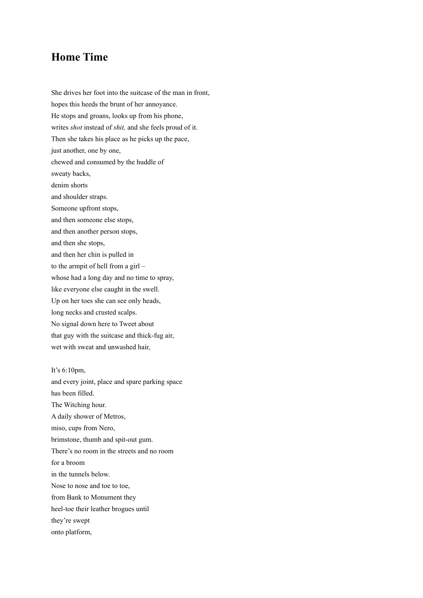## **Home Time**

She drives her foot into the suitcase of the man in front, hopes this heeds the brunt of her annoyance. He stops and groans, looks up from his phone, writes *shot* instead of *shit,* and she feels proud of it. Then she takes his place as he picks up the pace, just another, one by one, chewed and consumed by the huddle of sweaty backs, denim shorts and shoulder straps. Someone upfront stops, and then someone else stops, and then another person stops, and then she stops, and then her chin is pulled in to the armpit of hell from a girl – whose had a long day and no time to spray, like everyone else caught in the swell. Up on her toes she can see only heads, long necks and crusted scalps. No signal down here to Tweet about that guy with the suitcase and thick-fug air, wet with sweat and unwashed hair,

It's 6:10pm,

and every joint, place and spare parking space has been filled. The Witching hour. A daily shower of Metros, miso, cups from Nero, brimstone, thumb and spit-out gum. There's no room in the streets and no room for a broom in the tunnels below. Nose to nose and toe to toe, from Bank to Monument they heel-toe their leather brogues until they're swept onto platform,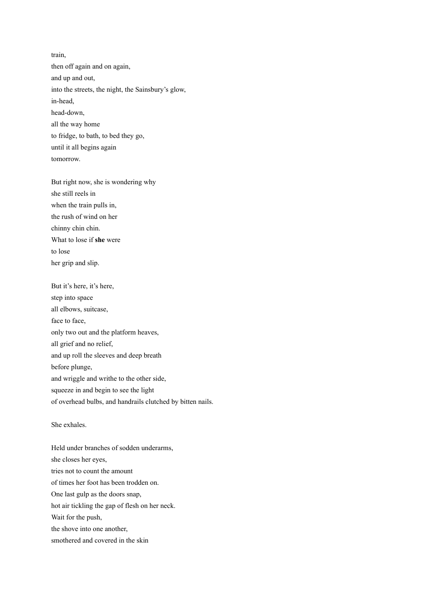train, then off again and on again, and up and out, into the streets, the night, the Sainsbury's glow, in-head, head-down, all the way home to fridge, to bath, to bed they go, until it all begins again tomorrow.

But right now, she is wondering why she still reels in when the train pulls in, the rush of wind on her chinny chin chin. What to lose if **she** were to lose her grip and slip.

But it's here, it's here, step into space all elbows, suitcase, face to face, only two out and the platform heaves, all grief and no relief, and up roll the sleeves and deep breath before plunge, and wriggle and writhe to the other side, squeeze in and begin to see the light of overhead bulbs, and handrails clutched by bitten nails.

She exhales.

Held under branches of sodden underarms, she closes her eyes, tries not to count the amount of times her foot has been trodden on. One last gulp as the doors snap, hot air tickling the gap of flesh on her neck. Wait for the push, the shove into one another, smothered and covered in the skin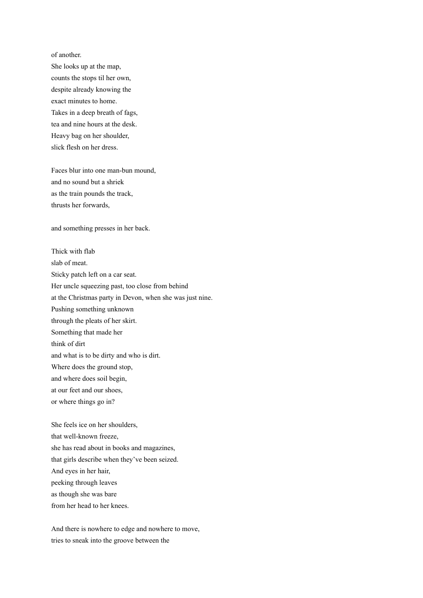of another.

She looks up at the map, counts the stops til her own, despite already knowing the exact minutes to home. Takes in a deep breath of fags, tea and nine hours at the desk. Heavy bag on her shoulder, slick flesh on her dress.

Faces blur into one man-bun mound, and no sound but a shriek as the train pounds the track, thrusts her forwards,

and something presses in her back.

Thick with flab slab of meat. Sticky patch left on a car seat. Her uncle squeezing past, too close from behind at the Christmas party in Devon, when she was just nine. Pushing something unknown through the pleats of her skirt. Something that made her think of dirt and what is to be dirty and who is dirt. Where does the ground stop, and where does soil begin, at our feet and our shoes, or where things go in?

She feels ice on her shoulders, that well-known freeze, she has read about in books and magazines, that girls describe when they've been seized. And eyes in her hair, peeking through leaves as though she was bare from her head to her knees.

And there is nowhere to edge and nowhere to move, tries to sneak into the groove between the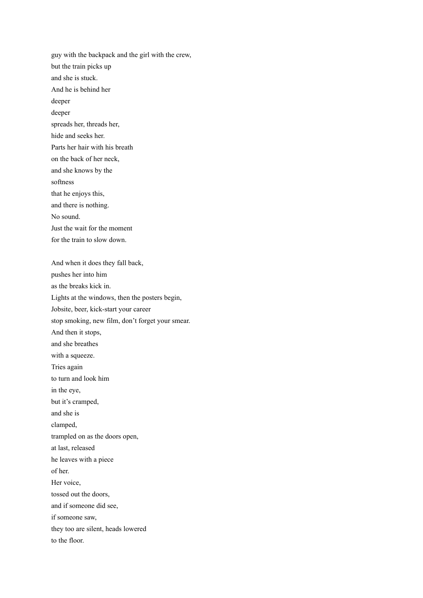guy with the backpack and the girl with the crew, but the train picks up and she is stuck. And he is behind her deeper deeper spreads her, threads her, hide and seeks her. Parts her hair with his breath on the back of her neck, and she knows by the softness that he enjoys this, and there is nothing. No sound. Just the wait for the moment for the train to slow down. And when it does they fall back, pushes her into him as the breaks kick in. Lights at the windows, then the posters begin, Jobsite, beer, kick-start your career

stop smoking, new film, don't forget your smear.

And then it stops,

and she breathes with a squeeze.

Tries again

to turn and look him in the eye,

but it's cramped,

and she is

clamped,

trampled on as the doors open,

at last, released

he leaves with a piece

of her. Her voice,

tossed out the doors,

and if someone did see,

if someone saw,

they too are silent, heads lowered

to the floor.